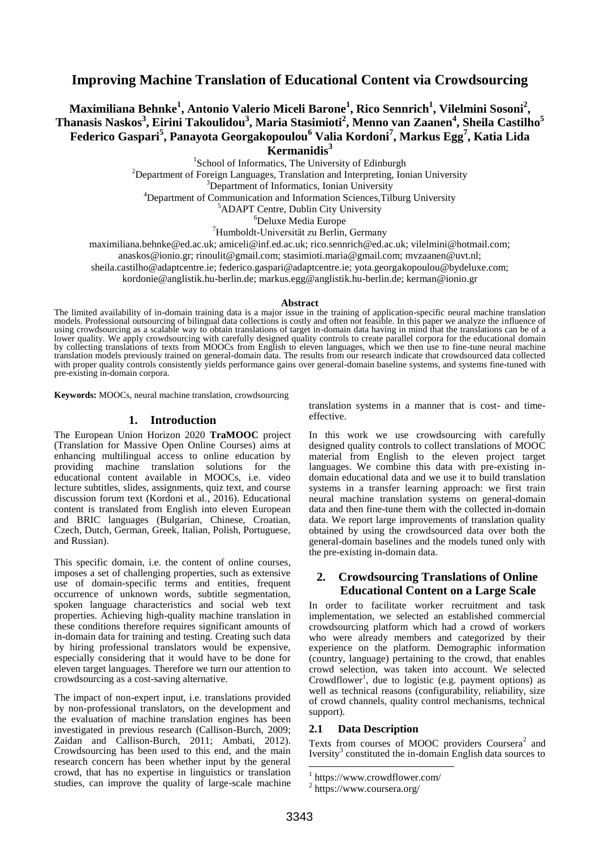# **Improving Machine Translation of Educational Content via Crowdsourcing**

# **Maximiliana Behnke<sup>1</sup> , Antonio Valerio Miceli Barone<sup>1</sup> , Rico Sennrich<sup>1</sup> , Vilelmini Sosoni<sup>2</sup> , Thanasis Naskos<sup>3</sup> , Eirini Takoulidou<sup>3</sup> , Maria Stasimioti<sup>2</sup> , Menno van Zaanen<sup>4</sup> , Sheila Castilho<sup>5</sup> Federico Gaspari<sup>5</sup> , Panayota Georgakopoulou<sup>6</sup> Valia Kordoni<sup>7</sup> , Markus Egg<sup>7</sup> , Katia Lida Kermanidis<sup>3</sup>**

<sup>1</sup>School of Informatics, The University of Edinburgh

 $2$ Department of Foreign Languages, Translation and Interpreting, Ionian University

<sup>3</sup>Department of Informatics, Ionian University

<sup>4</sup>Department of Communication and Information Sciences, Tilburg University

<sup>5</sup>ADAPT Centre, Dublin City University

<sup>6</sup>Deluxe Media Europe

<sup>7</sup>Humboldt-Universität zu Berlin, Germany

maximiliana.behnke@ed.ac.uk; amiceli@inf.ed.ac.uk; rico.sennrich@ed.ac.uk; vilelmini@hotmail.com;

anaskos@ionio.gr; rinoulit@gmail.com; stasimioti.maria@gmail.com; mvzaanen@uvt.nl;

sheila.castilho@adaptcentre.ie; federico.gaspari@adaptcentre.ie; yota.georgakopoulou@bydeluxe.com;

kordonie@anglistik.hu-berlin.de; markus.egg@anglistik.hu-berlin.de; kerman@ionio.gr

#### **Abstract**

The limited availability of in-domain training data is a major issue in the training of application-specific neural machine translation models. Professional outsourcing of bilingual data collections is costly and often not feasible. In this paper we analyze the influence of using crowdsourcing as a scalable way to obtain translations of target in-domain data having in mind that the translations can be of a lower quality. We apply crowdsourcing with carefully designed quality controls to create parallel corpora for the educational domain by collecting translations of texts from MOOCs from English to eleven languages, which we then use to fine-tune neural machine translation models previously trained on general-domain data. The results from our research indicate that crowdsourced data collected with proper quality controls consistently yields performance gains over general-domain baseline systems, and systems fine-tuned with pre-existing in-domain corpora.

**Keywords:** MOOCs, neural machine translation, crowdsourcing

#### **1. Introduction**

The European Union Horizon 2020 **TraMOOC** project (Translation for Massive Open Online Courses) aims at enhancing multilingual access to online education by providing machine translation solutions for the educational content available in MOOCs, i.e. video lecture subtitles, slides, assignments, quiz text, and course discussion forum text (Kordoni et al., 2016). Educational content is translated from English into eleven European and BRIC languages (Bulgarian, Chinese, Croatian, Czech, Dutch, German, Greek, Italian, Polish, Portuguese, and Russian).

This specific domain, i.e. the content of online courses, imposes a set of challenging properties, such as extensive use of domain-specific terms and entities, frequent occurrence of unknown words, subtitle segmentation, spoken language characteristics and social web text properties. Achieving high-quality machine translation in these conditions therefore requires significant amounts of in-domain data for training and testing. Creating such data by hiring professional translators would be expensive, especially considering that it would have to be done for eleven target languages. Therefore we turn our attention to crowdsourcing as a cost-saving alternative.

The impact of non-expert input, i.e. translations provided by non-professional translators, on the development and the evaluation of machine translation engines has been investigated in previous research (Callison-Burch, 2009; Zaidan and Callison-Burch, 2011; Ambati, 2012). Crowdsourcing has been used to this end, and the main research concern has been whether input by the general crowd, that has no expertise in linguistics or translation studies, can improve the quality of large-scale machine translation systems in a manner that is cost- and timeeffective.

In this work we use crowdsourcing with carefully designed quality controls to collect translations of MOOC material from English to the eleven project target languages. We combine this data with pre-existing indomain educational data and we use it to build translation systems in a transfer learning approach: we first train neural machine translation systems on general-domain data and then fine-tune them with the collected in-domain data. We report large improvements of translation quality obtained by using the crowdsourced data over both the general-domain baselines and the models tuned only with the pre-existing in-domain data.

## **2. Crowdsourcing Translations of Online Educational Content on a Large Scale**

In order to facilitate worker recruitment and task implementation, we selected an established commercial crowdsourcing platform which had a crowd of workers who were already members and categorized by their experience on the platform. Demographic information (country, language) pertaining to the crowd, that enables crowd selection, was taken into account. We selected Crowdflower<sup>1</sup>, due to logistic (e.g. payment options) as well as technical reasons (configurability, reliability, size of crowd channels, quality control mechanisms, technical support).

#### **2.1 Data Description**

Texts from courses of MOOC providers Coursera<sup>2</sup> and Iversity<sup>3</sup> constituted the in-domain English data sources to

.

<sup>1</sup> https://www.crowdflower.com/

<sup>2</sup> https://www.coursera.org/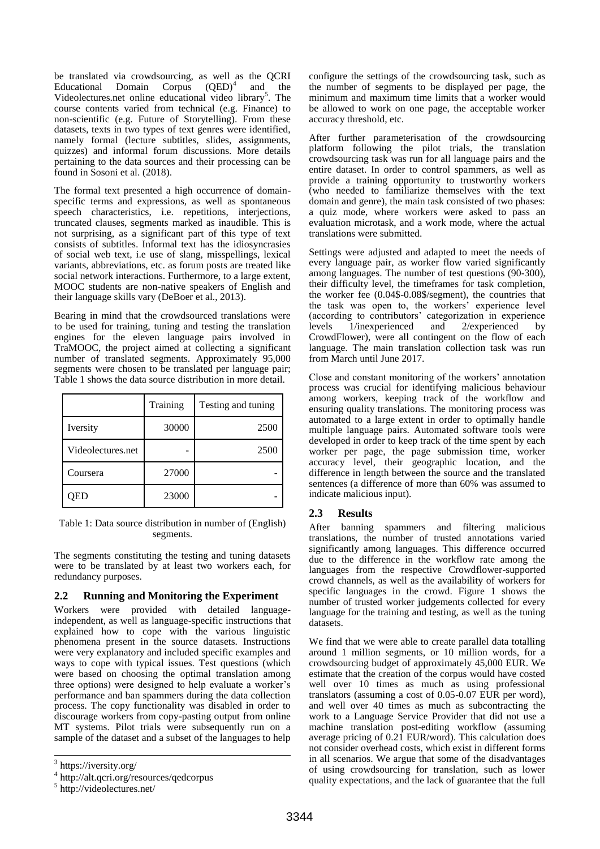be translated via crowdsourcing, as well as the QCRI Educational Domain Corpus (QED)<sup>4</sup> and the Videolectures.net online educational video library<sup>5</sup>. The course contents varied from technical (e.g. Finance) to non-scientific (e.g. Future of Storytelling). From these datasets, texts in two types of text genres were identified, namely formal (lecture subtitles, slides, assignments, quizzes) and informal forum discussions. More details pertaining to the data sources and their processing can be found in Sosoni et al. (2018).

The formal text presented a high occurrence of domainspecific terms and expressions, as well as spontaneous speech characteristics, i.e. repetitions, interjections, truncated clauses, segments marked as inaudible. This is not surprising, as a significant part of this type of text consists of subtitles. Informal text has the idiosyncrasies of social web text, i.e use of slang, misspellings, lexical variants, abbreviations, etc. as forum posts are treated like social network interactions. Furthermore, to a large extent, MOOC students are non-native speakers of English and their language skills vary (DeBoer et al., 2013).

Bearing in mind that the crowdsourced translations were to be used for training, tuning and testing the translation engines for the eleven language pairs involved in TraMOOC, the project aimed at collecting a significant number of translated segments. Approximately 95,000 segments were chosen to be translated per language pair; Table 1 shows the data source distribution in more detail.

|                   | Training | Testing and tuning |
|-------------------|----------|--------------------|
| Iversity          | 30000    | 2500               |
| Videolectures.net |          | 2500               |
| Coursera          | 27000    |                    |
|                   | 23000    |                    |

Table 1: Data source distribution in number of (English) segments.

The segments constituting the testing and tuning datasets were to be translated by at least two workers each, for redundancy purposes.

### **2.2 Running and Monitoring the Experiment**

Workers were provided with detailed languageindependent, as well as language-specific instructions that explained how to cope with the various linguistic phenomena present in the source datasets. Instructions were very explanatory and included specific examples and ways to cope with typical issues. Test questions (which were based on choosing the optimal translation among three options) were designed to help evaluate a worker's performance and ban spammers during the data collection process. The copy functionality was disabled in order to discourage workers from copy-pasting output from online MT systems. Pilot trials were subsequently run on a sample of the dataset and a subset of the languages to help

-

configure the settings of the crowdsourcing task, such as the number of segments to be displayed per page, the minimum and maximum time limits that a worker would be allowed to work on one page, the acceptable worker accuracy threshold, etc.

After further parameterisation of the crowdsourcing platform following the pilot trials, the translation crowdsourcing task was run for all language pairs and the entire dataset. In order to control spammers, as well as provide a training opportunity to trustworthy workers (who needed to familiarize themselves with the text domain and genre), the main task consisted of two phases: a quiz mode, where workers were asked to pass an evaluation microtask, and a work mode, where the actual translations were submitted.

Settings were adjusted and adapted to meet the needs of every language pair, as worker flow varied significantly among languages. The number of test questions (90-300), their difficulty level, the timeframes for task completion, the worker fee (0.04\$-0.08\$/segment), the countries that the task was open to, the workers' experience level (according to contributors' categorization in experience levels 1/inexperienced and 2/experienced by CrowdFlower), were all contingent on the flow of each language. The main translation collection task was run from March until June 2017.

Close and constant monitoring of the workers' annotation process was crucial for identifying malicious behaviour among workers, keeping track of the workflow and ensuring quality translations. The monitoring process was automated to a large extent in order to optimally handle multiple language pairs. Automated software tools were developed in order to keep track of the time spent by each worker per page, the page submission time, worker accuracy level, their geographic location, and the difference in length between the source and the translated sentences (a difference of more than 60% was assumed to indicate malicious input).

## **2.3 Results**

After banning spammers and filtering malicious translations, the number of trusted annotations varied significantly among languages. This difference occurred due to the difference in the workflow rate among the languages from the respective Crowdflower-supported crowd channels, as well as the availability of workers for specific languages in the crowd. Figure 1 shows the number of trusted worker judgements collected for every language for the training and testing, as well as the tuning datasets.

We find that we were able to create parallel data totalling around 1 million segments, or 10 million words, for a crowdsourcing budget of approximately 45,000 EUR. We estimate that the creation of the corpus would have costed well over 10 times as much as using professional translators (assuming a cost of 0.05-0.07 EUR per word), and well over 40 times as much as subcontracting the work to a Language Service Provider that did not use a machine translation post-editing workflow (assuming average pricing of 0.21 EUR/word). This calculation does not consider overhead costs, which exist in different forms in all scenarios. We argue that some of the disadvantages of using crowdsourcing for translation, such as lower quality expectations, and the lack of guarantee that the full

<sup>&</sup>lt;sup>3</sup> https://iversity.org/

<sup>4</sup> http://alt.qcri.org/resources/qedcorpus

<sup>5</sup> http://videolectures.net/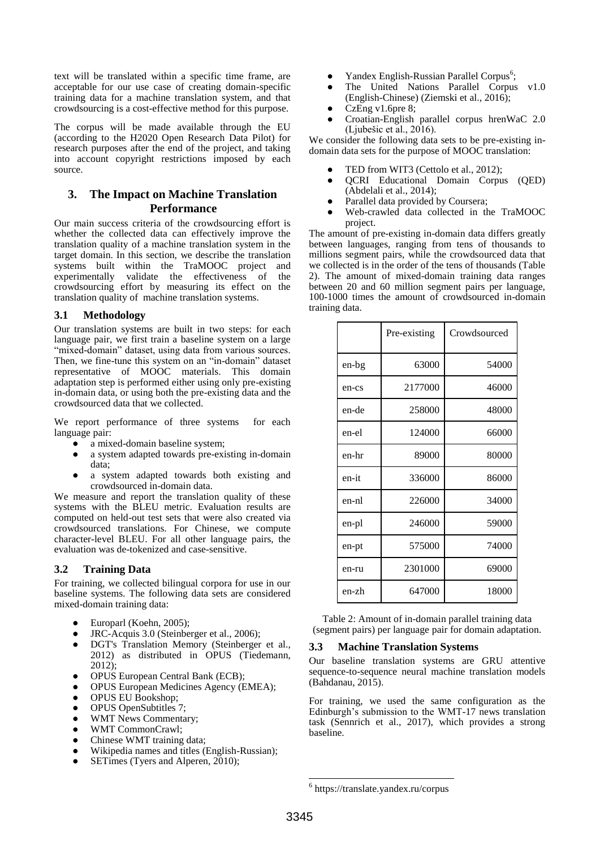text will be translated within a specific time frame, are acceptable for our use case of creating domain-specific training data for a machine translation system, and that crowdsourcing is a cost-effective method for this purpose.

The corpus will be made available through the EU (according to the H2020 Open Research Data Pilot) for research purposes after the end of the project, and taking into account copyright restrictions imposed by each source.

## **3. The Impact on Machine Translation Performance**

Our main success criteria of the crowdsourcing effort is whether the collected data can effectively improve the translation quality of a machine translation system in the target domain. In this section, we describe the translation systems built within the TraMOOC project and experimentally validate the effectiveness of the crowdsourcing effort by measuring its effect on the translation quality of machine translation systems.

### **3.1 Methodology**

Our translation systems are built in two steps: for each language pair, we first train a baseline system on a large "mixed-domain" dataset, using data from various sources. Then, we fine-tune this system on an "in-domain" dataset representative of MOOC materials. This domain adaptation step is performed either using only pre-existing in-domain data, or using both the pre-existing data and the crowdsourced data that we collected.

We report performance of three systems for each language pair:

- a mixed-domain baseline system;
- a system adapted towards pre-existing in-domain data;
- a system adapted towards both existing and crowdsourced in-domain data.

We measure and report the translation quality of these systems with the BLEU metric. Evaluation results are computed on held-out test sets that were also created via crowdsourced translations. For Chinese, we compute character-level BLEU. For all other language pairs, the evaluation was de-tokenized and case-sensitive.

## **3.2 Training Data**

For training, we collected bilingual corpora for use in our baseline systems. The following data sets are considered mixed-domain training data:

- Europarl (Koehn, 2005);
- JRC-Acquis 3.0 (Steinberger et al., 2006);
- DGT's Translation Memory (Steinberger et al., 2012) as distributed in OPUS (Tiedemann, 2012);
- OPUS European Central Bank (ECB);
- OPUS European Medicines Agency (EMEA);
- OPUS EU Bookshop;
- OPUS OpenSubtitles 7;
- WMT News Commentary;
- WMT CommonCrawl;
- Chinese WMT training data;
- Wikipedia names and titles (English-Russian);
- SETimes (Tvers and Alperen, 2010);
- Yandex English-Russian Parallel Corpus<sup>6</sup>;
- The United Nations Parallel Corpus v1.0 (English-Chinese) (Ziemski et al., 2016);
- CzEng v1.6pre 8;
- Croatian-English parallel corpus hrenWaC 2.0 (Ljubešic et al., 2016).

We consider the following data sets to be pre-existing indomain data sets for the purpose of MOOC translation:

- TED from WIT3 (Cettolo et al., 2012);
- QCRI Educational Domain Corpus (QED) (Abdelali et al., 2014);
- Parallel data provided by Coursera;
- Web-crawled data collected in the TraMOOC project.

The amount of pre-existing in-domain data differs greatly between languages, ranging from tens of thousands to millions segment pairs, while the crowdsourced data that we collected is in the order of the tens of thousands (Table 2). The amount of mixed-domain training data ranges between 20 and 60 million segment pairs per language, 100-1000 times the amount of crowdsourced in-domain training data.

|       | Pre-existing | Crowdsourced |
|-------|--------------|--------------|
| en-bg | 63000        | 54000        |
| en-cs | 2177000      | 46000        |
| en-de | 258000       | 48000        |
| en-el | 124000       | 66000        |
| en-hr | 89000        | 80000        |
| en-it | 336000       | 86000        |
| en-nl | 226000       | 34000        |
| en-pl | 246000       | 59000        |
| en-pt | 575000       | 74000        |
| en-ru | 2301000      | 69000        |
| en-zh | 647000       | 18000        |

Table 2: Amount of in-domain parallel training data (segment pairs) per language pair for domain adaptation.

### **3.3 Machine Translation Systems**

Our baseline translation systems are GRU attentive sequence-to-sequence neural machine translation models (Bahdanau, 2015).

For training, we used the same configuration as the Edinburgh's submission to the WMT-17 news translation task (Sennrich et al., 2017), which provides a strong baseline.

1

<sup>6</sup> https://translate.yandex.ru/corpus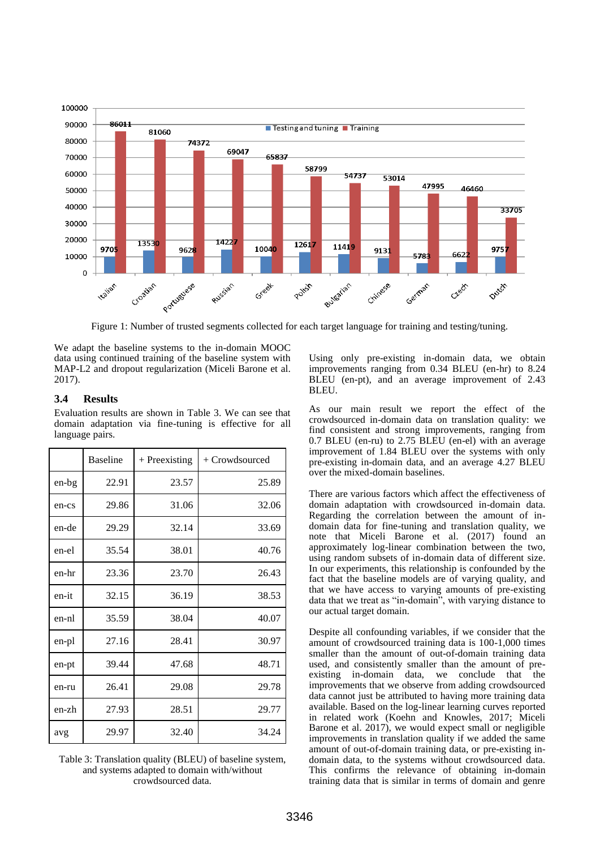

Figure 1: Number of trusted segments collected for each target language for training and testing/tuning.

We adapt the baseline systems to the in-domain MOOC data using continued training of the baseline system with MAP-L2 and dropout regularization (Miceli Barone et al. 2017).

### **3.4 Results**

Evaluation results are shown in Table 3. We can see that domain adaptation via fine-tuning is effective for all language pairs.

|       | <b>Baseline</b> | $+$ Preexisting | + Crowdsourced |
|-------|-----------------|-----------------|----------------|
| en-bg | 22.91           | 23.57           | 25.89          |
| en-cs | 29.86           | 31.06           | 32.06          |
| en-de | 29.29           | 32.14           | 33.69          |
| en-el | 35.54           | 38.01           | 40.76          |
| en-hr | 23.36           | 23.70           | 26.43          |
| en-it | 32.15           | 36.19           | 38.53          |
| en-nl | 35.59           | 38.04           | 40.07          |
| en-pl | 27.16           | 28.41           | 30.97          |
| en-pt | 39.44           | 47.68           | 48.71          |
| en-ru | 26.41           | 29.08           | 29.78          |
| en-zh | 27.93           | 28.51           | 29.77          |
| avg   | 29.97           | 32.40           | 34.24          |

Table 3: Translation quality (BLEU) of baseline system, and systems adapted to domain with/without crowdsourced data.

Using only pre-existing in-domain data, we obtain improvements ranging from 0.34 BLEU (en-hr) to 8.24 BLEU (en-pt), and an average improvement of 2.43 BLEU.

As our main result we report the effect of the crowdsourced in-domain data on translation quality: we find consistent and strong improvements, ranging from 0.7 BLEU (en-ru) to 2.75 BLEU (en-el) with an average improvement of 1.84 BLEU over the systems with only pre-existing in-domain data, and an average 4.27 BLEU over the mixed-domain baselines.

There are various factors which affect the effectiveness of domain adaptation with crowdsourced in-domain data. Regarding the correlation between the amount of indomain data for fine-tuning and translation quality, we note that Miceli Barone et al. (2017) found an approximately log-linear combination between the two, using random subsets of in-domain data of different size. In our experiments, this relationship is confounded by the fact that the baseline models are of varying quality, and that we have access to varying amounts of pre-existing data that we treat as "in-domain", with varying distance to our actual target domain.

Despite all confounding variables, if we consider that the amount of crowdsourced training data is 100-1,000 times smaller than the amount of out-of-domain training data used, and consistently smaller than the amount of preexisting in-domain data, we conclude that the improvements that we observe from adding crowdsourced data cannot just be attributed to having more training data available. Based on the log-linear learning curves reported in related work (Koehn and Knowles, 2017; Miceli Barone et al. 2017), we would expect small or negligible improvements in translation quality if we added the same amount of out-of-domain training data, or pre-existing indomain data, to the systems without crowdsourced data. This confirms the relevance of obtaining in-domain training data that is similar in terms of domain and genre